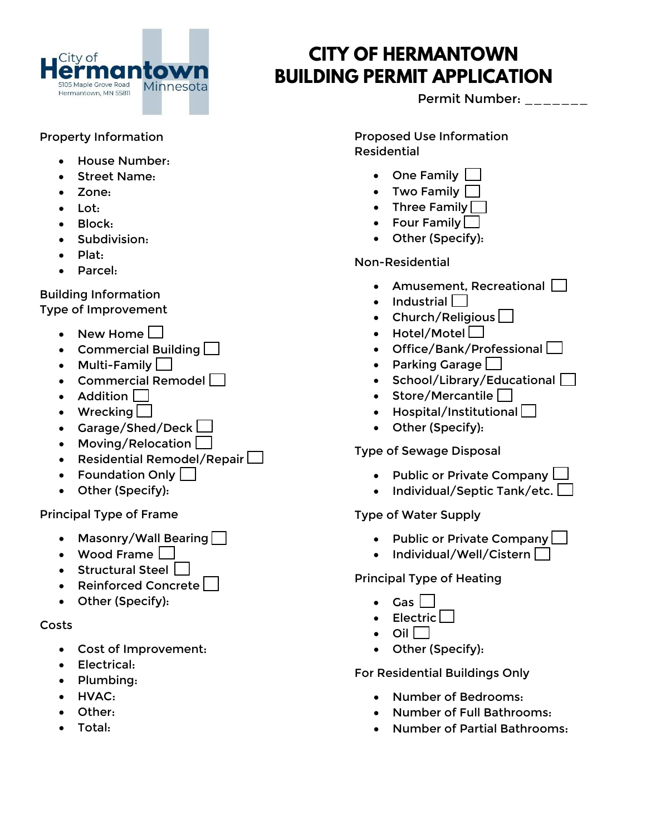

# **CITY OF HERMANTOWN BUILDING PERMIT APPLICATION**

Permit Number: \_\_\_\_\_\_\_

### Property Information

- House Number:
- Street Name:
- Zone:
- Lot:
- Block:
- Subdivision:
- Plat:
- Parcel:

#### Building Information Type of Improvement

- New Home  $\square$
- Commercial Building  $\Box$
- Multi-Family  $\Box$
- Commercial Remodel  $\Box$
- Addition  $\Box$
- Wrecking  $\Box$
- Garage/Shed/Deck
- Moving/Relocation
- Residential Remodel/Repair  $\Box$
- Foundation Only
- Other (Specify):

#### Principal Type of Frame

- Masonry/Wall Bearing
- Wood Frame  $\Box$
- Structural Steel  $\Box$
- Reinforced Concrete
- Other (Specify):

#### Costs

- Cost of Improvement:
- Electrical:
- Plumbing:
- HVAC:
- Other:
- Total:

Proposed Use Information Residential

- One Family
- Two Family  $\Box$
- Three Family  $\Box$
- Four Family [
- Other (Specify):

# Non-Residential

- Amusement, Recreational  $\Box$
- $\bullet$  Industrial
- Church/Religious  $\Box$
- Hotel/Motel $\square$
- Office/Bank/Professional
- Parking Garage  $\Box$
- School/Library/Educational
- Store/Mercantile  $\Box$
- $\bullet$  Hospital/Institutional  $\Box$
- Other (Specify):

#### Type of Sewage Disposal

- Public or Private Company  $\Box$
- Individual/Septic Tank/etc.  $\Box$

#### Type of Water Supply

- Public or Private Company
- $\bullet$  Individual/Well/Cistern  $\Box$

# Principal Type of Heating

- Gas
- $\bullet$  Electric
- Oil  $\Box$
- Other (Specify):

# For Residential Buildings Only

- Number of Bedrooms:
- Number of Full Bathrooms:
- Number of Partial Bathrooms: